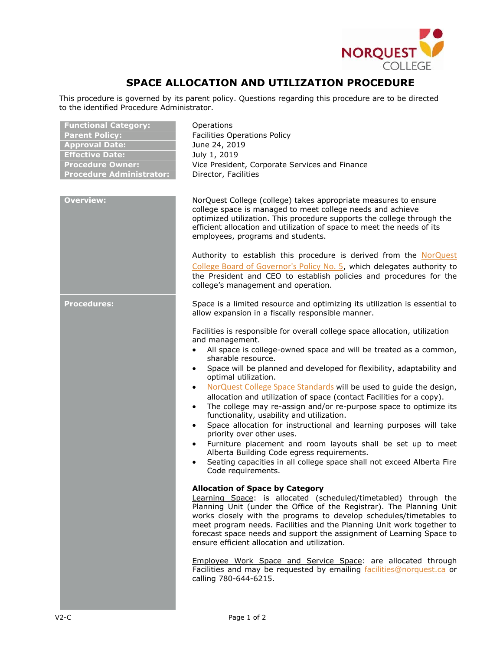

## **SPACE ALLOCATION AND UTILIZATION PROCEDURE**

This procedure is governed by its parent policy. Questions regarding this procedure are to be directed to the identified Procedure Administrator.

| <b>Functional Category:</b><br><b>Parent Policy:</b><br><b>Approval Date:</b><br><b>Effective Date:</b><br><b>Procedure Owner:</b><br><b>Procedure Administrator:</b> | Operations<br><b>Facilities Operations Policy</b><br>June 24, 2019<br>July 1, 2019<br>Vice President, Corporate Services and Finance<br>Director, Facilities                                                                                                                                                                                                                                                                                                                                                                                                                                                                                                                                                                                                                                                                                                                                                                                                                                                                                                                                                                                                                                                                                                                                                                                                                                                                                                                                                                                                                                                                                                                                                              |
|-----------------------------------------------------------------------------------------------------------------------------------------------------------------------|---------------------------------------------------------------------------------------------------------------------------------------------------------------------------------------------------------------------------------------------------------------------------------------------------------------------------------------------------------------------------------------------------------------------------------------------------------------------------------------------------------------------------------------------------------------------------------------------------------------------------------------------------------------------------------------------------------------------------------------------------------------------------------------------------------------------------------------------------------------------------------------------------------------------------------------------------------------------------------------------------------------------------------------------------------------------------------------------------------------------------------------------------------------------------------------------------------------------------------------------------------------------------------------------------------------------------------------------------------------------------------------------------------------------------------------------------------------------------------------------------------------------------------------------------------------------------------------------------------------------------------------------------------------------------------------------------------------------------|
| <b>Overview:</b>                                                                                                                                                      | NorQuest College (college) takes appropriate measures to ensure<br>college space is managed to meet college needs and achieve<br>optimized utilization. This procedure supports the college through the<br>efficient allocation and utilization of space to meet the needs of its<br>employees, programs and students.                                                                                                                                                                                                                                                                                                                                                                                                                                                                                                                                                                                                                                                                                                                                                                                                                                                                                                                                                                                                                                                                                                                                                                                                                                                                                                                                                                                                    |
|                                                                                                                                                                       | Authority to establish this procedure is derived from the NorQuest<br>College Board of Governor's Policy No. 5, which delegates authority to<br>the President and CEO to establish policies and procedures for the<br>college's management and operation.                                                                                                                                                                                                                                                                                                                                                                                                                                                                                                                                                                                                                                                                                                                                                                                                                                                                                                                                                                                                                                                                                                                                                                                                                                                                                                                                                                                                                                                                 |
| <b>Procedures:</b>                                                                                                                                                    | Space is a limited resource and optimizing its utilization is essential to<br>allow expansion in a fiscally responsible manner.<br>Facilities is responsible for overall college space allocation, utilization<br>and management.<br>All space is college-owned space and will be treated as a common,<br>$\bullet$<br>sharable resource.<br>Space will be planned and developed for flexibility, adaptability and<br>$\bullet$<br>optimal utilization.<br>NorQuest College Space Standards will be used to guide the design,<br>$\bullet$<br>allocation and utilization of space (contact Facilities for a copy).<br>The college may re-assign and/or re-purpose space to optimize its<br>$\bullet$<br>functionality, usability and utilization.<br>Space allocation for instructional and learning purposes will take<br>$\bullet$<br>priority over other uses.<br>Furniture placement and room layouts shall be set up to meet<br>$\bullet$<br>Alberta Building Code egress requirements.<br>Seating capacities in all college space shall not exceed Alberta Fire<br>Code requirements.<br><b>Allocation of Space by Category</b><br>Learning Space: is allocated (scheduled/timetabled) through the<br>Planning Unit (under the Office of the Registrar). The Planning Unit<br>works closely with the programs to develop schedules/timetables to<br>meet program needs. Facilities and the Planning Unit work together to<br>forecast space needs and support the assignment of Learning Space to<br>ensure efficient allocation and utilization.<br>Employee Work Space and Service Space: are allocated through<br>Facilities and may be requested by emailing facilities@norquest.ca or<br>calling 780-644-6215. |